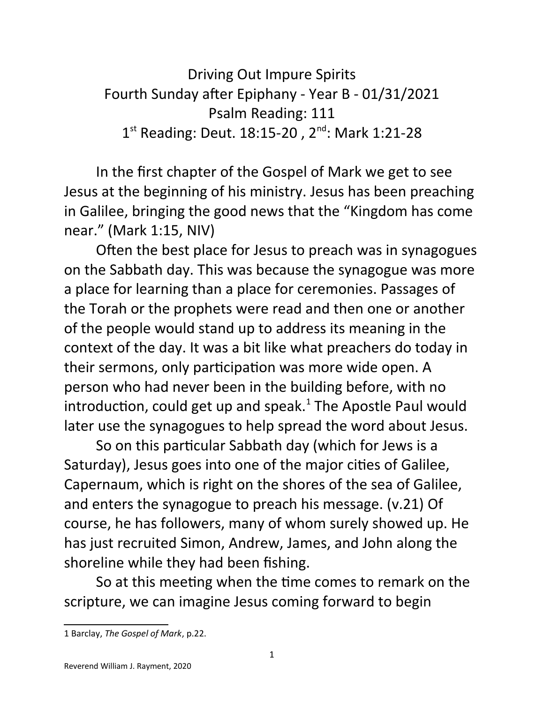Driving Out Impure Spirits Fourth Sunday after Epiphany - Year B - 01/31/2021 Psalm Reading: 111 1<sup>st</sup> Reading: Deut. 18:15-20, 2<sup>nd</sup>: Mark 1:21-28

In the first chapter of the Gospel of Mark we get to see Jesus at the beginning of his ministry. Jesus has been preaching in Galilee, bringing the good news that the "Kingdom has come near." (Mark 1:15, NIV)

Often the best place for Jesus to preach was in synagogues on the Sabbath day. This was because the synagogue was more a place for learning than a place for ceremonies. Passages of the Torah or the prophets were read and then one or another of the people would stand up to address its meaning in the context of the day. It was a bit like what preachers do today in their sermons, only participation was more wide open. A person who had never been in the building before, with no introduction, could get up and speak. $^1$  $^1$  The Apostle Paul would later use the synagogues to help spread the word about Jesus.

So on this particular Sabbath day (which for Jews is a Saturday), Jesus goes into one of the major cities of Galilee, Capernaum, which is right on the shores of the sea of Galilee, and enters the synagogue to preach his message. (v.21) Of course, he has followers, many of whom surely showed up. He has just recruited Simon, Andrew, James, and John along the shoreline while they had been fishing.

So at this meeting when the time comes to remark on the scripture, we can imagine Jesus coming forward to begin

<span id="page-0-0"></span><sup>1</sup> Barclay, *The Gospel of Mark*, p.22.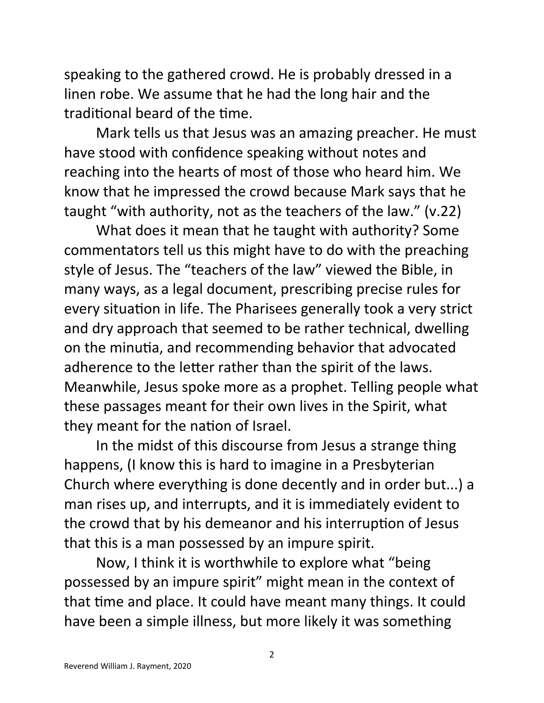speaking to the gathered crowd. He is probably dressed in a linen robe. We assume that he had the long hair and the traditional beard of the time.

Mark tells us that Jesus was an amazing preacher. He must have stood with confidence speaking without notes and reaching into the hearts of most of those who heard him. We know that he impressed the crowd because Mark says that he taught "with authority, not as the teachers of the law." (v.22)

What does it mean that he taught with authority? Some commentators tell us this might have to do with the preaching style of Jesus. The "teachers of the law" viewed the Bible, in many ways, as a legal document, prescribing precise rules for every situation in life. The Pharisees generally took a very strict and dry approach that seemed to be rather technical, dwelling on the minutia, and recommending behavior that advocated adherence to the letter rather than the spirit of the laws. Meanwhile, Jesus spoke more as a prophet. Telling people what these passages meant for their own lives in the Spirit, what they meant for the nation of Israel.

In the midst of this discourse from Jesus a strange thing happens, (I know this is hard to imagine in a Presbyterian Church where everything is done decently and in order but...) a man rises up, and interrupts, and it is immediately evident to the crowd that by his demeanor and his interruption of Jesus that this is a man possessed by an impure spirit.

Now, I think it is worthwhile to explore what "being possessed by an impure spirit" might mean in the context of that time and place. It could have meant many things. It could have been a simple illness, but more likely it was something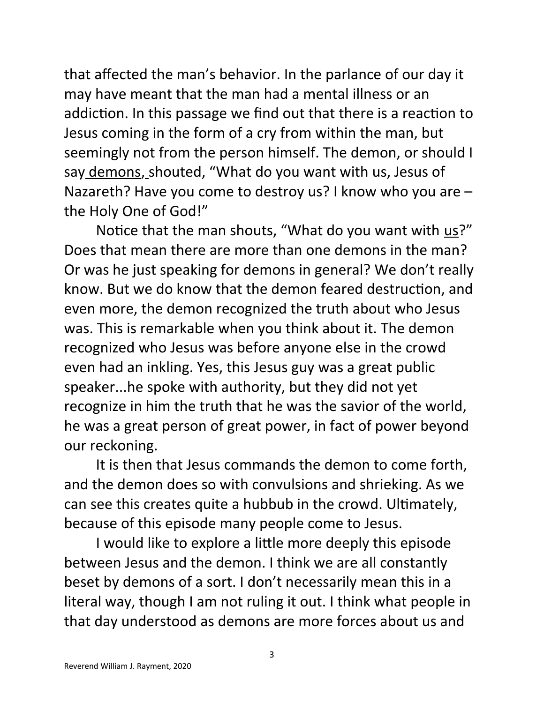that affected the man's behavior. In the parlance of our day it may have meant that the man had a mental illness or an addiction. In this passage we find out that there is a reaction to Jesus coming in the form of a cry from within the man, but seemingly not from the person himself. The demon, or should I say demons, shouted, "What do you want with us, Jesus of Nazareth? Have you come to destroy us? I know who you are – the Holy One of God!"

Notice that the man shouts, "What do you want with  $us?"$ </u> Does that mean there are more than one demons in the man? Or was he just speaking for demons in general? We don't really know. But we do know that the demon feared destruction, and even more, the demon recognized the truth about who Jesus was. This is remarkable when you think about it. The demon recognized who Jesus was before anyone else in the crowd even had an inkling. Yes, this Jesus guy was a great public speaker...he spoke with authority, but they did not yet recognize in him the truth that he was the savior of the world, he was a great person of great power, in fact of power beyond our reckoning.

It is then that Jesus commands the demon to come forth, and the demon does so with convulsions and shrieking. As we can see this creates quite a hubbub in the crowd. Ultimately, because of this episode many people come to Jesus.

I would like to explore a little more deeply this episode between Jesus and the demon. I think we are all constantly beset by demons of a sort. I don't necessarily mean this in a literal way, though I am not ruling it out. I think what people in that day understood as demons are more forces about us and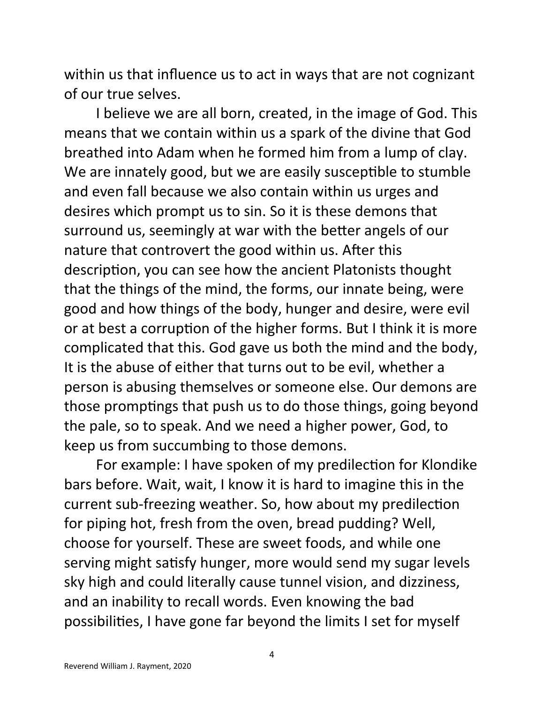within us that influence us to act in ways that are not cognizant of our true selves.

I believe we are all born, created, in the image of God. This means that we contain within us a spark of the divine that God breathed into Adam when he formed him from a lump of clay. We are innately good, but we are easily susceptible to stumble and even fall because we also contain within us urges and desires which prompt us to sin. So it is these demons that surround us, seemingly at war with the better angels of our nature that controvert the good within us. After this description, you can see how the ancient Platonists thought that the things of the mind, the forms, our innate being, were good and how things of the body, hunger and desire, were evil or at best a corruption of the higher forms. But I think it is more complicated that this. God gave us both the mind and the body, It is the abuse of either that turns out to be evil, whether a person is abusing themselves or someone else. Our demons are those promptings that push us to do those things, going beyond the pale, so to speak. And we need a higher power, God, to keep us from succumbing to those demons.

For example: I have spoken of my predilection for Klondike bars before. Wait, wait, I know it is hard to imagine this in the current sub-freezing weather. So, how about my predilection for piping hot, fresh from the oven, bread pudding? Well, choose for yourself. These are sweet foods, and while one serving might satisfy hunger, more would send my sugar levels sky high and could literally cause tunnel vision, and dizziness, and an inability to recall words. Even knowing the bad possibilities, I have gone far beyond the limits I set for myself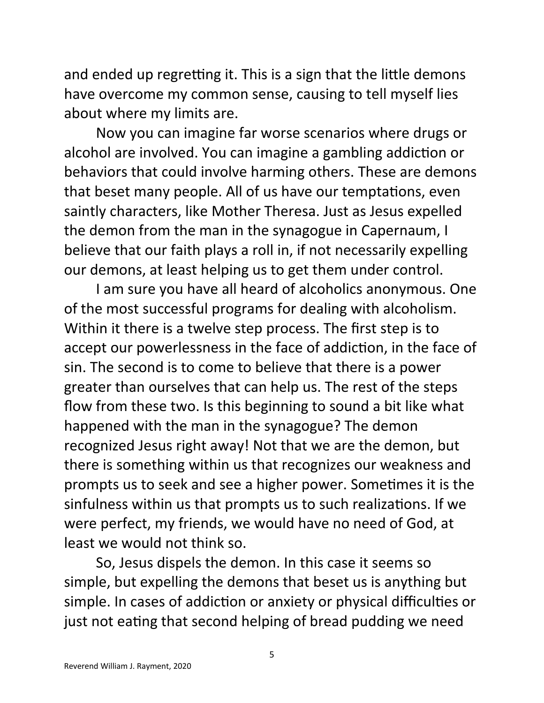and ended up regretting it. This is a sign that the little demons have overcome my common sense, causing to tell myself lies about where my limits are.

Now you can imagine far worse scenarios where drugs or alcohol are involved. You can imagine a gambling addiction or behaviors that could involve harming others. These are demons that beset many people. All of us have our temptations, even saintly characters, like Mother Theresa. Just as Jesus expelled the demon from the man in the synagogue in Capernaum, I believe that our faith plays a roll in, if not necessarily expelling our demons, at least helping us to get them under control.

I am sure you have all heard of alcoholics anonymous. One of the most successful programs for dealing with alcoholism. Within it there is a twelve step process. The first step is to accept our powerlessness in the face of addiction, in the face of sin. The second is to come to believe that there is a power greater than ourselves that can help us. The rest of the steps flow from these two. Is this beginning to sound a bit like what happened with the man in the synagogue? The demon recognized Jesus right away! Not that we are the demon, but there is something within us that recognizes our weakness and prompts us to seek and see a higher power. Sometimes it is the sinfulness within us that prompts us to such realizations. If we were perfect, my friends, we would have no need of God, at least we would not think so.

So, Jesus dispels the demon. In this case it seems so simple, but expelling the demons that beset us is anything but simple. In cases of addiction or anxiety or physical difficulties or just not eating that second helping of bread pudding we need